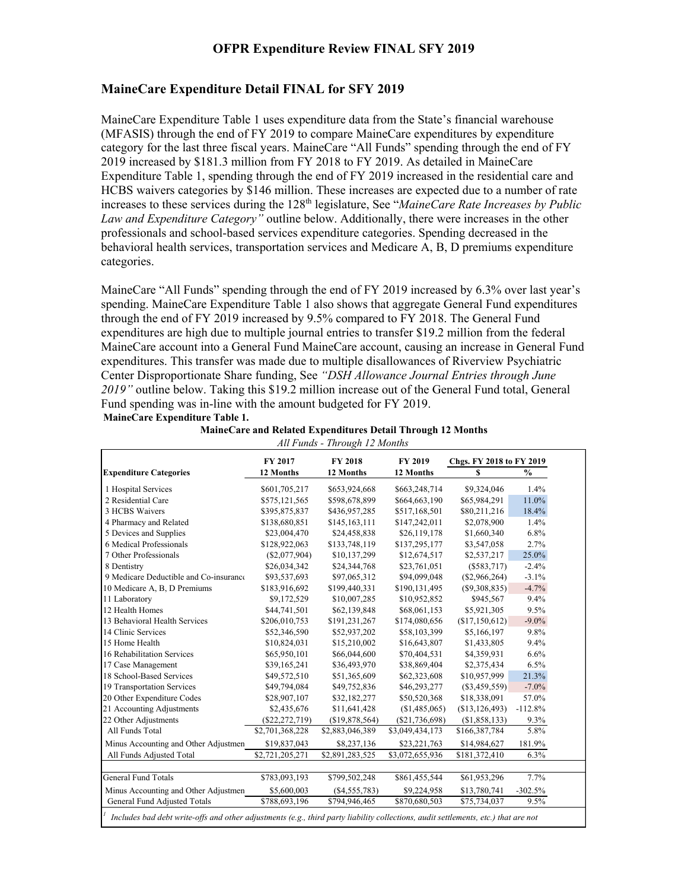# **OFPR Expenditure Review FINAL SFY 2019**

## **MaineCare Expenditure Detail FINAL for SFY 2019**

MaineCare Expenditure Table 1 uses expenditure data from the State's financial warehouse (MFASIS) through the end of FY 2019 to compare MaineCare expenditures by expenditure category for the last three fiscal years. MaineCare "All Funds" spending through the end of FY 2019 increased by \$181.3 million from FY 2018 to FY 2019. As detailed in MaineCare Expenditure Table 1, spending through the end of FY 2019 increased in the residential care and HCBS waivers categories by \$146 million. These increases are expected due to a number of rate increases to these services during the 128<sup>th</sup> legislature, See "*MaineCare Rate Increases by Public Law and Expenditure Category"* outline below. Additionally, there were increases in the other professionals and school-based services expenditure categories. Spending decreased in the behavioral health services, transportation services and Medicare A, B, D premiums expenditure categories.

MaineCare "All Funds" spending through the end of FY 2019 increased by 6.3% over last year's spending. MaineCare Expenditure Table 1 also shows that aggregate General Fund expenditures through the end of FY 2019 increased by 9.5% compared to FY 2018. The General Fund expenditures are high due to multiple journal entries to transfer \$19.2 million from the federal MaineCare account into a General Fund MaineCare account, causing an increase in General Fund expenditures. This transfer was made due to multiple disallowances of Riverview Psychiatric Center Disproportionate Share funding, See *"DSH Allowance Journal Entries through June 2019"* outline below. Taking this \$19.2 million increase out of the General Fund total, General Fund spending was in-line with the amount budgeted for FY 2019. **MaineCare Expenditure Table 1.**

|                                        | FY 2017<br><b>FY 2018</b><br><b>FY 2019</b><br>Chgs. FY 2018 to FY 2019 |                 |                  |                 |           |
|----------------------------------------|-------------------------------------------------------------------------|-----------------|------------------|-----------------|-----------|
| <b>Expenditure Categories</b>          | 12 Months                                                               | 12 Months       | 12 Months        | S               | $\%$      |
| 1 Hospital Services                    | \$601,705,217                                                           | \$653,924,668   | \$663,248,714    | \$9,324,046     | 1.4%      |
| 2 Residential Care                     | \$575,121,565                                                           | \$598,678,899   | \$664,663,190    | \$65,984,291    | 11.0%     |
| 3 HCBS Waivers                         | \$395,875,837                                                           | \$436,957,285   | \$517,168,501    | \$80,211,216    | 18.4%     |
| 4 Pharmacy and Related                 | \$138,680,851                                                           | \$145,163,111   | \$147,242,011    | \$2,078,900     | 1.4%      |
| 5 Devices and Supplies                 | \$23,004,470                                                            | \$24,458,838    | \$26,119,178     | \$1,660,340     | 6.8%      |
| 6 Medical Professionals                | \$128,922,063                                                           | \$133,748,119   | \$137,295,177    | \$3,547,058     | 2.7%      |
| 7 Other Professionals                  | (S2,077,904)                                                            | \$10,137,299    | \$12,674,517     | \$2,537,217     | 25.0%     |
| 8 Dentistry                            | \$26,034,342                                                            | \$24,344,768    | \$23,761,051     | $(\$583,717)$   | $-2.4%$   |
| 9 Medicare Deductible and Co-insurance | \$93,537,693                                                            | \$97,065,312    | \$94,099,048     | $(\$2,966,264)$ | $-3.1\%$  |
| 10 Medicare A, B, D Premiums           | \$183,916,692                                                           | \$199,440,331   | \$190,131,495    | (S9,308,835)    | $-4.7%$   |
| 11 Laboratory                          | \$9,172,529                                                             | \$10,007,285    | \$10,952,852     | \$945,567       | 9.4%      |
| 12 Health Homes                        | \$44,741,501                                                            | \$62,139,848    | \$68,061,153     | \$5,921,305     | 9.5%      |
| 13 Behavioral Health Services          | \$206,010,753                                                           | \$191,231,267   | \$174,080,656    | (\$17,150,612)  | $-9.0\%$  |
| 14 Clinic Services                     | \$52,346,590                                                            | \$52,937,202    | \$58,103,399     | \$5,166,197     | 9.8%      |
| 15 Home Health                         | \$10,824,031                                                            | \$15,210,002    | \$16,643,807     | \$1,433,805     | 9.4%      |
| 16 Rehabilitation Services             | \$65,950,101                                                            | \$66,044,600    | \$70,404,531     | \$4,359,931     | 6.6%      |
| 17 Case Management                     | \$39,165,241                                                            | \$36,493,970    | \$38,869,404     | \$2,375,434     | 6.5%      |
| 18 School-Based Services               | \$49,572,510                                                            | \$51,365,609    | \$62,323,608     | \$10,957,999    | 21.3%     |
| 19 Transportation Services             | \$49,794,084                                                            | \$49,752,836    | \$46,293,277     | $(\$3,459,559)$ | $-7.0\%$  |
| 20 Other Expenditure Codes             | \$28,907,107                                                            | \$32,182,277    | \$50,520,368     | \$18,338,091    | 57.0%     |
| 21 Accounting Adjustments              | \$2,435,676                                                             | \$11,641,428    | (\$1,485,065)    | (\$13,126,493)  | $-112.8%$ |
| 22 Other Adjustments                   | $(\$22,272,719)$                                                        | (\$19,878,564)  | $(\$21,736,698)$ | (\$1,858,133)   | 9.3%      |
| All Funds Total                        | \$2,701,368,228                                                         | \$2,883,046,389 | \$3,049,434,173  | \$166,387,784   | 5.8%      |
| Minus Accounting and Other Adjustmen   | \$19,837,043                                                            | \$8,237,136     | \$23,221,763     | \$14,984,627    | 181.9%    |
| All Funds Adjusted Total               | \$2,721,205,271                                                         | \$2,891,283,525 | \$3,072,655,936  | \$181,372,410   | 6.3%      |
|                                        |                                                                         |                 |                  |                 |           |
| General Fund Totals                    | \$783,093,193                                                           | \$799,502,248   | \$861,455,544    | \$61,953,296    | 7.7%      |
| Minus Accounting and Other Adjustmen   | \$5,600,003                                                             | $(\$4,555,783)$ | \$9,224,958      | \$13,780,741    | $-302.5%$ |
| General Fund Adjusted Totals           | \$788,693,196                                                           | \$794,946,465   | \$870,680,503    | \$75,734,037    | 9.5%      |

**MaineCare and Related Expenditures Detail Through 12 Months** *All Funds - Through 12 Months*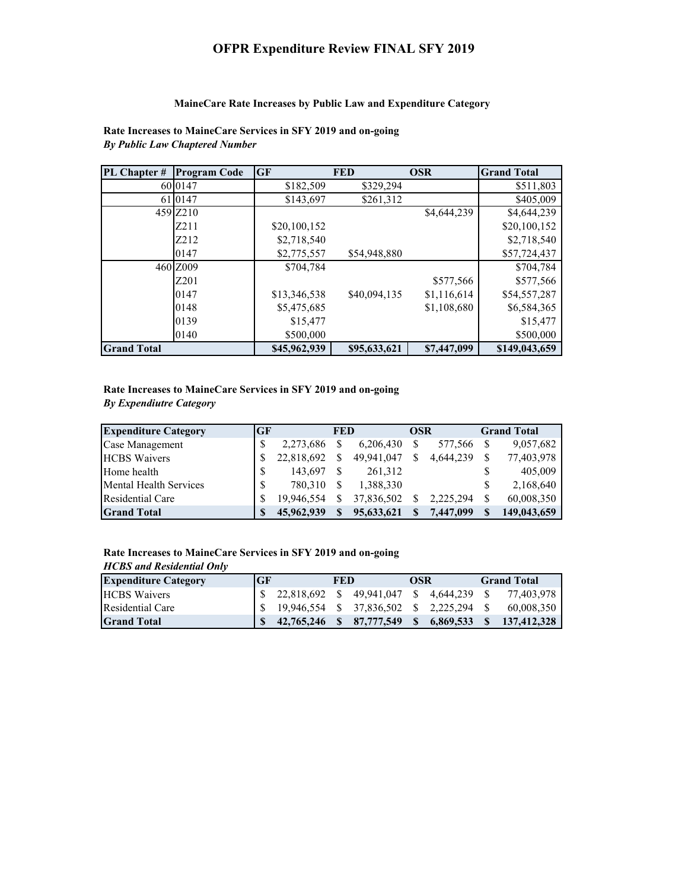# **OFPR Expenditure Review FINAL SFY 2019**

#### **MaineCare Rate Increases by Public Law and Expenditure Category**

**Rate Increases to MaineCare Services in SFY 2019 and on-going** *By Public Law Chaptered Number*

| PL Chapter #       | <b>Program Code</b> | <b>GF</b>    | <b>FED</b>   | <b>OSR</b>  | <b>Grand Total</b> |
|--------------------|---------------------|--------------|--------------|-------------|--------------------|
|                    | 6010147             | \$182,509    | \$329,294    |             | \$511,803          |
| 61                 | 10147               | \$143,697    | \$261,312    |             | \$405,009          |
|                    | 459 Z210            |              |              | \$4,644,239 | \$4,644,239        |
|                    | Z <sub>2</sub> 11   | \$20,100,152 |              |             | \$20,100,152       |
|                    | Z212                | \$2,718,540  |              |             | \$2,718,540        |
|                    | 0147                | \$2,775,557  | \$54,948,880 |             | \$57,724,437       |
|                    | 460 Z009            | \$704,784    |              |             | \$704,784          |
|                    | Z <sub>201</sub>    |              |              | \$577,566   | \$577,566          |
|                    | 0147                | \$13,346,538 | \$40,094,135 | \$1,116,614 | \$54,557,287       |
|                    | 0148                | \$5,475,685  |              | \$1,108,680 | \$6,584,365        |
|                    | 0139                | \$15,477     |              |             | \$15,477           |
|                    | 0140                | \$500,000    |              |             | \$500,000          |
| <b>Grand Total</b> |                     | \$45,962,939 | \$95,633,621 | \$7,447,099 | \$149,043,659      |

### **Rate Increases to MaineCare Services in SFY 2019 and on-going** *By Expendiutre Category*

| <b>Expenditure Category</b> | <b>GF</b> |            | <b>FED</b> |            | <b>OSR</b> |           | <b>Grand Total</b> |
|-----------------------------|-----------|------------|------------|------------|------------|-----------|--------------------|
| Case Management             | \$        | 2,273,686  |            | 6.206.430  |            | 577,566   | 9,057,682          |
| <b>HCBS</b> Waivers         | S         | 22,818,692 |            | 49.941.047 |            | 4,644,239 | 77,403,978         |
| Home health                 | S         | 143.697    |            | 261,312    |            |           | 405,009            |
| Mental Health Services      | S         | 780,310    |            | 1.388.330  |            |           | 2,168,640          |
| Residential Care            | \$.       | 19.946.554 |            | 37,836,502 |            | 2.225.294 | 60,008,350         |
| <b>Grand Total</b>          |           | 45,962,939 |            | 95,633,621 |            | 7,447,099 | 149,043,659        |

#### **Rate Increases to MaineCare Services in SFY 2019 and on-going**

#### *HCBS and Residential Only* **Expenditure Category GF GF FED OSR Grand Total** \$ 49,941,047 22,818,692 \$ 4,644,239 \$ 77,403,978 \$ \$ 19,946,554 \$ 37,836,502 \$ 2,225,294 \$ 60,008,350 **Grand Total 42,765,246 \$ 87,777,549 \$ 6,869,533 \$ 137,412,328 \$**  Residential Care HCBS Waivers